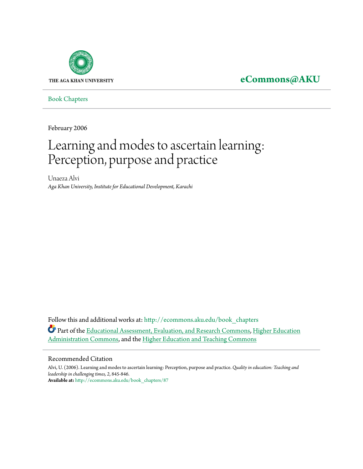

## **[eCommons@AKU](http://ecommons.aku.edu?utm_source=ecommons.aku.edu%2Fbook_chapters%2F87&utm_medium=PDF&utm_campaign=PDFCoverPages)**

[Book Chapters](http://ecommons.aku.edu/book_chapters?utm_source=ecommons.aku.edu%2Fbook_chapters%2F87&utm_medium=PDF&utm_campaign=PDFCoverPages)

February 2006

## Learning and modes to ascertain learning: Perception, purpose and practice

Unaeza Alvi *Aga Khan University, Institute for Educational Development, Karachi*

Follow this and additional works at: [http://ecommons.aku.edu/book\\_chapters](http://ecommons.aku.edu/book_chapters?utm_source=ecommons.aku.edu%2Fbook_chapters%2F87&utm_medium=PDF&utm_campaign=PDFCoverPages) Part of the [Educational Assessment, Evaluation, and Research Commons,](http://network.bepress.com/hgg/discipline/796?utm_source=ecommons.aku.edu%2Fbook_chapters%2F87&utm_medium=PDF&utm_campaign=PDFCoverPages) [Higher Education](http://network.bepress.com/hgg/discipline/791?utm_source=ecommons.aku.edu%2Fbook_chapters%2F87&utm_medium=PDF&utm_campaign=PDFCoverPages) [Administration Commons,](http://network.bepress.com/hgg/discipline/791?utm_source=ecommons.aku.edu%2Fbook_chapters%2F87&utm_medium=PDF&utm_campaign=PDFCoverPages) and the [Higher Education and Teaching Commons](http://network.bepress.com/hgg/discipline/806?utm_source=ecommons.aku.edu%2Fbook_chapters%2F87&utm_medium=PDF&utm_campaign=PDFCoverPages)

## Recommended Citation

Alvi, U. (2006). Learning and modes to ascertain learning: Perception, purpose and practice. *Quality in education: Teaching and leadership in challenging times, 2*, 845-846. **Available at:** [http://ecommons.aku.edu/book\\_chapters/87](http://ecommons.aku.edu/book_chapters/87)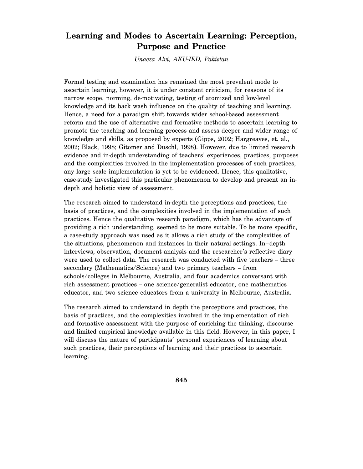## **Learning and Modes to Ascertain Learning: Perception, Purpose and Practice**

*Unaeza Alvi, AKU-IED, Pakistan* 

Formal testing and examination has remained the most prevalent mode to ascertain learning, however, it is under constant criticism, for reasons of its narrow scope, norming, de-motivating, testing of atomized and low-level knowledge and its back wash influence on the quality of teaching and learning. Hence, a need for a paradigm shift towards wider school-based assessment reform and the use of alternative and formative methods to ascertain learning to promote the teaching and learning process and assess deeper and wider range of knowledge and skills, as proposed by experts (Gipps, 2002; Hargreaves, et. al., 2002; Black, 1998; Gitomer and Duschl, 1998). However, due to limited research evidence and in-depth understanding of teachers' experiences, practices, purposes and the complexities involved in the implementation processes of such practices, any large scale implementation is yet to be evidenced. Hence, this qualitative, case-study investigated this particular phenomenon to develop and present an indepth and holistic view of assessment.

The research aimed to understand in-depth the perceptions and practices, the basis of practices, and the complexities involved in the implementation of such practices. Hence the qualitative research paradigm, which has the advantage of providing a rich understanding, seemed to be more suitable. To be more specific, a case-study approach was used as it allows a rich study of the complexities of the situations, phenomenon and instances in their natural settings. In–depth interviews, observation, document analysis and the researcher's reflective diary were used to collect data. The research was conducted with five teachers – three secondary (Mathematics/Science) and two primary teachers – from schools/colleges in Melbourne, Australia, and four academics conversant with rich assessment practices – one science/generalist educator, one mathematics educator, and two science educators from a university in Melbourne, Australia.

The research aimed to understand in depth the perceptions and practices, the basis of practices, and the complexities involved in the implementation of rich and formative assessment with the purpose of enriching the thinking, discourse and limited empirical knowledge available in this field. However, in this paper, I will discuss the nature of participants' personal experiences of learning about such practices, their perceptions of learning and their practices to ascertain learning.